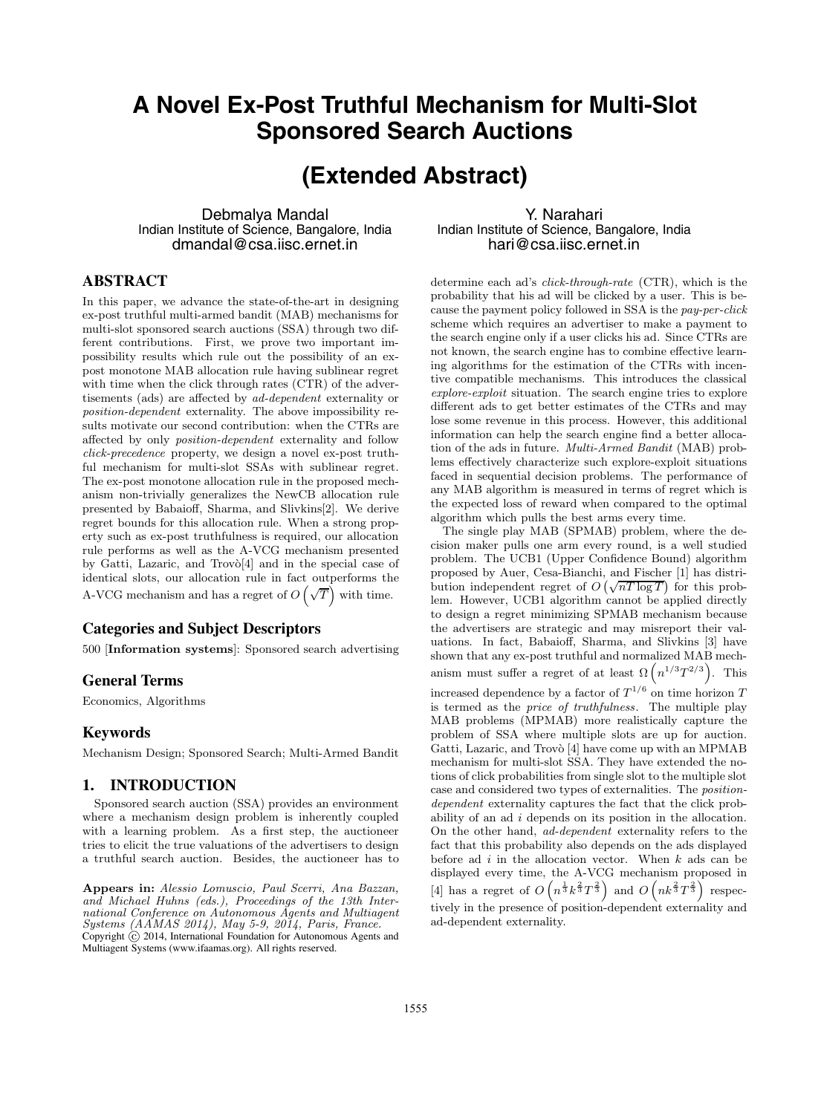# **A Novel Ex-Post Truthful Mechanism for Multi-Slot Sponsored Search Auctions**

# **(Extended Abstract)**

Debmalya Mandal Indian Institute of Science, Bangalore, India dmandal@csa.iisc.ernet.in

Y. Narahari Indian Institute of Science, Bangalore, India hari@csa.iisc.ernet.in

## **ABSTRACT**

In this paper, we advance the state-of-the-art in designing ex-post truthful multi-armed bandit (MAB) mechanisms for multi-slot sponsored search auctions (SSA) through two different contributions. First, we prove two important impossibility results which rule out the possibility of an expost monotone MAB allocation rule having sublinear regret with time when the click through rates (CTR) of the advertisements (ads) are affected by *ad-dependent* externality or *position-dependent* externality. The above impossibility results motivate our second contribution: when the CTRs are affected by only *position-dependent* externality and follow *click-precedence* property, we design a novel ex-post truthful mechanism for multi-slot SSAs with sublinear regret. The ex-post monotone allocation rule in the proposed mechanism non-trivially generalizes the NewCB allocation rule presented by Babaioff, Sharma, and Slivkins[2]. We derive regret bounds for this allocation rule. When a strong property such as ex-post truthfulness is required, our allocation rule performs as well as the A-VCG mechanism presented by Gatti, Lazaric, and Trov $\delta$ [4] and in the special case of identical slots, our allocation rule in fact outperforms the A-VCG mechanism and has a regret of  $O(\sqrt{T})$  with time.

## **Categories and Subject Descriptors**

500 [**Information systems**]: Sponsored search advertising

### **General Terms**

Economics, Algorithms

### **Keywords**

Mechanism Design; Sponsored Search; Multi-Armed Bandit

## **1. INTRODUCTION**

Sponsored search auction (SSA) provides an environment where a mechanism design problem is inherently coupled with a learning problem. As a first step, the auctioneer tries to elicit the true valuations of the advertisers to design a truthful search auction. Besides, the auctioneer has to

**Appears in:** *Alessio Lomuscio, Paul Scerri, Ana Bazzan, and Michael Huhns (eds.), Proceedings of the 13th International Conference on Autonomous Agents and Multiagent Systems (AAMAS 2014), May 5-9, 2014, Paris, France.* Copyright  $\odot$  2014, International Foundation for Autonomous Agents and Multiagent Systems (www.ifaamas.org). All rights reserved.

determine each ad's *click-through-rate* (CTR), which is the probability that his ad will be clicked by a user. This is because the payment policy followed in SSA is the *pay-per-click* scheme which requires an advertiser to make a payment to the search engine only if a user clicks his ad. Since CTRs are not known, the search engine has to combine effective learning algorithms for the estimation of the CTRs with incentive compatible mechanisms. This introduces the classical *explore-exploit* situation. The search engine tries to explore different ads to get better estimates of the CTRs and may lose some revenue in this process. However, this additional information can help the search engine find a better allocation of the ads in future. *Multi-Armed Bandit* (MAB) problems effectively characterize such explore-exploit situations faced in sequential decision problems. The performance of any MAB algorithm is measured in terms of regret which is the expected loss of reward when compared to the optimal algorithm which pulls the best arms every time.

The single play MAB (SPMAB) problem, where the decision maker pulls one arm every round, is a well studied problem. The UCB1 (Upper Confidence Bound) algorithm proposed by Auer, Cesa-Bianchi, and Fischer [1] has distriproposed by Auer, Cesa-Blanch, and Fischer [1] has distribution independent regret of  $O(\sqrt{nT \log T})$  for this problem. However, UCB1 algorithm cannot be applied directly to design a regret minimizing SPMAB mechanism because the advertisers are strategic and may misreport their valuations. In fact, Babaioff, Sharma, and Slivkins [3] have shown that any ex-post truthful and normalized MAB mechanism must suffer a regret of at least  $\Omega(n^{1/3}T^{2/3})$ . This increased dependence by a factor of  $T^{1/6}$  on time horizon  $T$ is termed as the *price of truthfulness*. The multiple play MAB problems (MPMAB) more realistically capture the problem of SSA where multiple slots are up for auction. Gatti, Lazaric, and Trovò [4] have come up with an MPMAB mechanism for multi-slot SSA. They have extended the notions of click probabilities from single slot to the multiple slot case and considered two types of externalities. The *positiondependent* externality captures the fact that the click probability of an ad *i* depends on its position in the allocation. On the other hand, *ad-dependent* externality refers to the fact that this probability also depends on the ads displayed before ad  $i$  in the allocation vector. When  $k$  ads can be displayed every time, the A-VCG mechanism proposed in [4] has a regret of  $O(n^{\frac{1}{3}}k^{\frac{2}{3}}T^{\frac{2}{3}})$  and  $O(nk^{\frac{2}{3}}T^{\frac{2}{3}})$  respectively in the presence of position-dependent externality and ad-dependent externality.